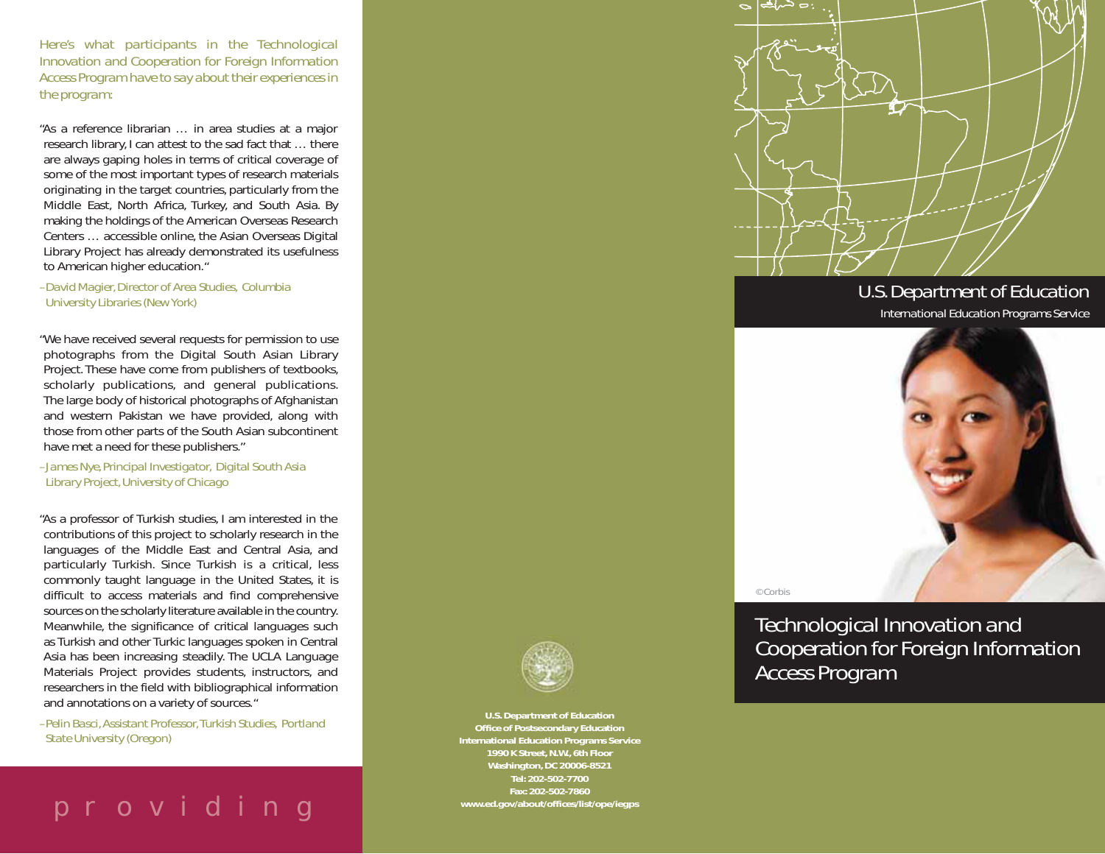*Here's what participants in the Technological Innovation and Cooperation for Foreign Information Access Program have to say about their experiences in the program:*

"As a reference librarian … in area studies at a major research library, I can attest to the sad fact that … there are always gaping holes in terms of critical coverage of some of the most important types of research materials originating in the target countries, particularly from the Middle East, North Africa, Turkey, and South Asia. By making the holdings of the American Overseas Research Centers … accessible online, the Asian Overseas Digital Library Project has already demonstrated its usefulness to American higher education."

*–David Magier, Director of Area Studies, Columbia University Libraries (New York)*

"We have received several requests for permission to use photographs from the Digital South Asian Library Project. These have come from publishers of textbooks, scholarly publications, and general publications. The large body of historical photographs of Afghanistan and western Pakistan we have provided, along with those from other parts of the South Asian subcontinent have met a need for these publishers."

*–James Nye, Principal Investigator, Digital South Asia Library Project, University of Chicago*

"As a professor of Turkish studies, I am interested in the contributions of this project to scholarly research in the languages of the Middle East and Central Asia, and particularly Turkish. Since Turkish is a critical, less commonly taught language in the United States, it is difficult to access materials and find comprehensive sources on the scholarly literature available in the country. Meanwhile, the significance of critical languages such as Turkish and other Turkic languages spoken in Central Asia has been increasing steadily. The UCLA Language Materials Project provides students, instructors, and researchers in the field with bibliographical information and annotations on a variety of sources."

*–Pelin Basci, Assistant Professor, Turkish Studies, Portland State University (Oregon)*





*U.S. Department of Education*

*International Education Programs Service*



© Corbis

*Technological Innovation and Cooperation for Foreign Information Access Program*



**U.S. Department of Education Office of Postsecondary Education International Education Programs Service 1990 K Street, N.W., 6th Floor Washington, DC 20006-8521 Tel: 202-502-7700 Fax: 202-502-7860**